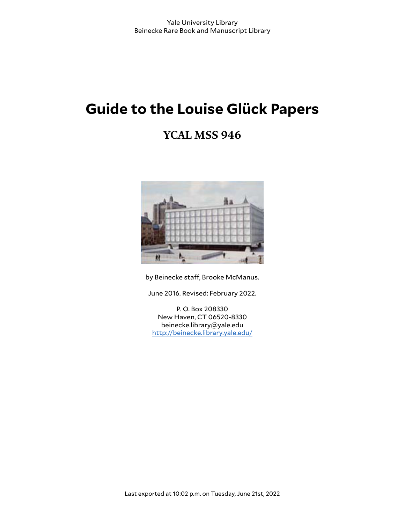# **Guide to the Louise Glück Papers**

# **YCAL MSS 946**



by Beinecke staff, Brooke McManus.

June 2016. Revised: February 2022.

P. O. Box 208330 New Haven, CT 06520-8330 beinecke.library@yale.edu <http://beinecke.library.yale.edu/>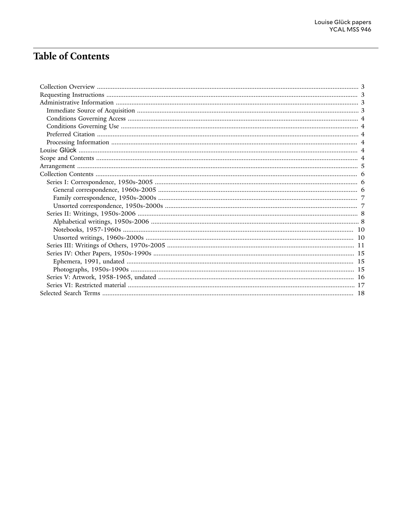# **Table of Contents**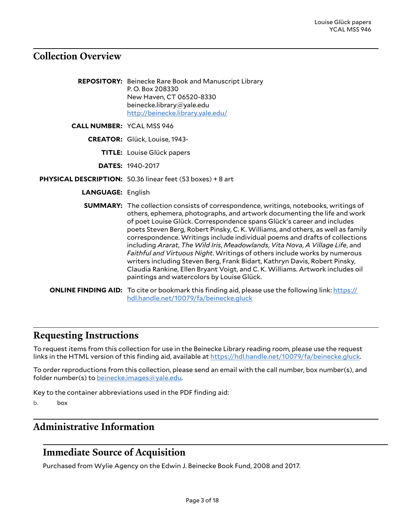## <span id="page-2-0"></span>**Collection Overview**

|                                  | <b>REPOSITORY:</b> Beinecke Rare Book and Manuscript Library<br>P.O. Box 208330<br>New Haven, CT 06520-8330<br>beinecke.library@yale.edu<br>http://beinecke.library.yale.edu/                                                                                                                                                                                                                                                                                                                                                                                                                                                                                                                                                                                                                |
|----------------------------------|----------------------------------------------------------------------------------------------------------------------------------------------------------------------------------------------------------------------------------------------------------------------------------------------------------------------------------------------------------------------------------------------------------------------------------------------------------------------------------------------------------------------------------------------------------------------------------------------------------------------------------------------------------------------------------------------------------------------------------------------------------------------------------------------|
| <b>CALL NUMBER: YCAL MSS 946</b> |                                                                                                                                                                                                                                                                                                                                                                                                                                                                                                                                                                                                                                                                                                                                                                                              |
|                                  | CREATOR: Glück, Louise, 1943-                                                                                                                                                                                                                                                                                                                                                                                                                                                                                                                                                                                                                                                                                                                                                                |
|                                  | <b>TITLE:</b> Louise Glück papers                                                                                                                                                                                                                                                                                                                                                                                                                                                                                                                                                                                                                                                                                                                                                            |
|                                  | <b>DATES: 1940-2017</b>                                                                                                                                                                                                                                                                                                                                                                                                                                                                                                                                                                                                                                                                                                                                                                      |
|                                  | PHYSICAL DESCRIPTION: 50.36 linear feet (53 boxes) + 8 art                                                                                                                                                                                                                                                                                                                                                                                                                                                                                                                                                                                                                                                                                                                                   |
| <b>LANGUAGE: English</b>         |                                                                                                                                                                                                                                                                                                                                                                                                                                                                                                                                                                                                                                                                                                                                                                                              |
|                                  | <b>SUMMARY:</b> The collection consists of correspondence, writings, notebooks, writings of<br>others, ephemera, photographs, and artwork documenting the life and work<br>of poet Louise Glück. Correspondence spans Glück's career and includes<br>poets Steven Berg, Robert Pinsky, C. K. Williams, and others, as well as family<br>correspondence. Writings include individual poems and drafts of collections<br>including Ararat, The Wild Iris, Meadowlands, Vita Nova, A Village Life, and<br>Faithful and Virtuous Night. Writings of others include works by numerous<br>writers including Steven Berg, Frank Bidart, Kathryn Davis, Robert Pinsky,<br>Claudia Rankine, Ellen Bryant Voigt, and C.K. Williams. Artwork includes oil<br>paintings and watercolors by Louise Glück. |
|                                  | <b>ONLINE FINDING AID:</b> To cite or bookmark this finding aid, please use the following link: https://<br>hdl.handle.net/10079/fa/beinecke.gluck                                                                                                                                                                                                                                                                                                                                                                                                                                                                                                                                                                                                                                           |

### <span id="page-2-1"></span>**Requesting Instructions**

To request items from this collection for use in the Beinecke Library reading room, please use the request links in the HTML version of this finding aid, available at <https://hdl.handle.net/10079/fa/beinecke.gluck>.

To order reproductions from this collection, please send an email with the call number, box number(s), and folder number(s) to [beinecke.images@yale.edu.](mailto:beinecke.images@yale.edu)

Key to the container abbreviations used in the PDF finding aid:

b. box

# <span id="page-2-2"></span>**Administrative Information**

# <span id="page-2-3"></span>**Immediate Source of Acquisition**

Purchased from Wylie Agency on the Edwin J. Beinecke Book Fund, 2008 and 2017.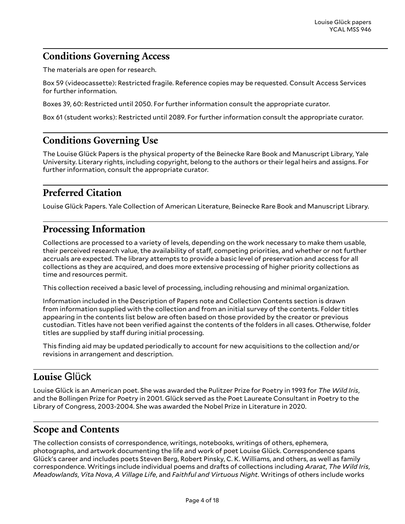# <span id="page-3-0"></span>**Conditions Governing Access**

The materials are open for research.

Box 59 (videocassette): Restricted fragile. Reference copies may be requested. Consult Access Services for further information.

Boxes 39, 60: Restricted until 2050. For further information consult the appropriate curator.

Box 61 (student works): Restricted until 2089. For further information consult the appropriate curator.

### <span id="page-3-1"></span>**Conditions Governing Use**

The Louise Glück Papers is the physical property of the Beinecke Rare Book and Manuscript Library, Yale University. Literary rights, including copyright, belong to the authors or their legal heirs and assigns. For further information, consult the appropriate curator.

# <span id="page-3-2"></span>**Preferred Citation**

Louise Glück Papers. Yale Collection of American Literature, Beinecke Rare Book and Manuscript Library.

# <span id="page-3-3"></span>**Processing Information**

Collections are processed to a variety of levels, depending on the work necessary to make them usable, their perceived research value, the availability of staff, competing priorities, and whether or not further accruals are expected. The library attempts to provide a basic level of preservation and access for all collections as they are acquired, and does more extensive processing of higher priority collections as time and resources permit.

This collection received a basic level of processing, including rehousing and minimal organization.

Information included in the Description of Papers note and Collection Contents section is drawn from information supplied with the collection and from an initial survey of the contents. Folder titles appearing in the contents list below are often based on those provided by the creator or previous custodian. Titles have not been verified against the contents of the folders in all cases. Otherwise, folder titles are supplied by staff during initial processing.

This finding aid may be updated periodically to account for new acquisitions to the collection and/or revisions in arrangement and description.

# <span id="page-3-4"></span>**Louise** Glück

Louise Glück is an American poet. She was awarded the Pulitzer Prize for Poetry in 1993 for *The Wild Iris*, and the Bollingen Prize for Poetry in 2001. Glück served as the Poet Laureate Consultant in Poetry to the Library of Congress, 2003-2004. She was awarded the Nobel Prize in Literature in 2020.

### <span id="page-3-5"></span>**Scope and Contents**

The collection consists of correspondence, writings, notebooks, writings of others, ephemera, photographs, and artwork documenting the life and work of poet Louise Glück. Correspondence spans Glück's career and includes poets Steven Berg, Robert Pinsky, C. K. Williams, and others, as well as family correspondence. Writings include individual poems and drafts of collections including *Ararat*, *The Wild Iris*, *Meadowlands*, *Vita Nova*, *A Village Life*, and *Faithful and Virtuous Night*. Writings of others include works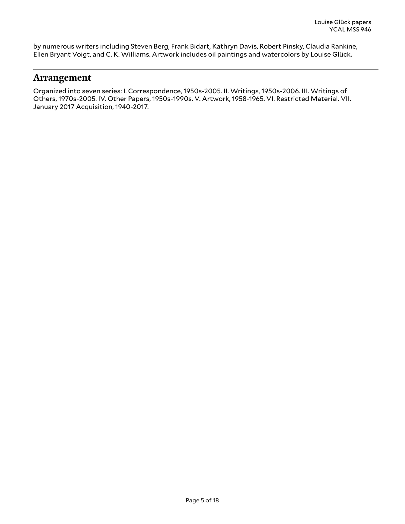by numerous writers including Steven Berg, Frank Bidart, Kathryn Davis, Robert Pinsky, Claudia Rankine, Ellen Bryant Voigt, and C. K. Williams. Artwork includes oil paintings and watercolors by Louise Glück.

### <span id="page-4-0"></span>**Arrangement**

Organized into seven series: I. Correspondence, 1950s-2005. II. Writings, 1950s-2006. III. Writings of Others, 1970s-2005. IV. Other Papers, 1950s-1990s. V. Artwork, 1958-1965. VI. Restricted Material. VII. January 2017 Acquisition, 1940-2017.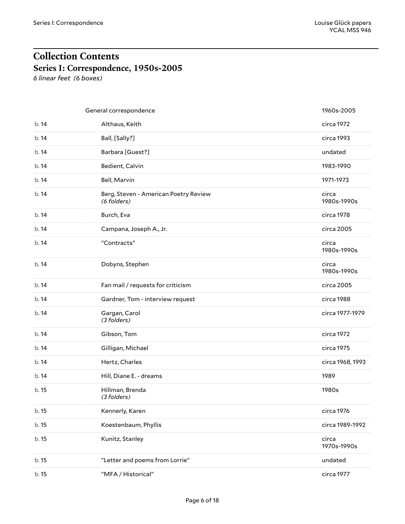# <span id="page-5-0"></span>**Collection Contents Series I: Correspondence, 1950s-2005**

<span id="page-5-1"></span>*6 linear feet (6 boxes)*

<span id="page-5-2"></span>

|       | General correspondence                               | 1960s-2005           |
|-------|------------------------------------------------------|----------------------|
| b. 14 | Althaus, Keith                                       | circa 1972           |
| b. 14 | Ball, [Sally?]                                       | circa 1993           |
| b. 14 | Barbara [Guest?]                                     | undated              |
| b. 14 | Bedient, Calvin                                      | 1983-1990            |
| b. 14 | Bell, Marvin                                         | 1971-1973            |
| b.14  | Berg, Steven - American Poetry Review<br>(6 folders) | circa<br>1980s-1990s |
| b. 14 | Burch, Eva                                           | circa 1978           |
| b. 14 | Campana, Joseph A., Jr.                              | circa 2005           |
| b. 14 | "Contracts"                                          | circa<br>1980s-1990s |
| b.14  | Dobyns, Stephen                                      | circa<br>1980s-1990s |
| b. 14 | Fan mail / requests for criticism                    | circa 2005           |
| b. 14 | Gardner, Tom - interview request                     | circa 1988           |
| b. 14 | Gargan, Carol<br>(3 folders)                         | circa 1977-1979      |
| b. 14 | Gibson, Tom                                          | circa 1972           |
| b. 14 | Gilligan, Michael                                    | circa 1975           |
| b. 14 | Hertz, Charles                                       | circa 1968, 1993     |
| b.14  | Hill, Diane E. - dreams                              | 1989                 |
| b. 15 | Hillman, Brenda<br>(3 folders)                       | 1980s                |
| b. 15 | Kennerly, Karen                                      | circa 1976           |
| b. 15 | Koestenbaum, Phyllis                                 | circa 1989-1992      |
| b. 15 | Kunitz, Stanley                                      | circa<br>1970s-1990s |
| b. 15 | "Letter and poems from Lorrie"                       | undated              |
| b. 15 | "MFA / Historical"                                   | circa 1977           |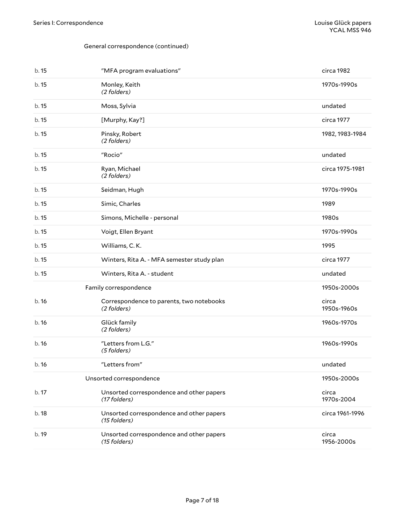#### General correspondence (continued)

<span id="page-6-1"></span><span id="page-6-0"></span>

| b. 15 | "MFA program evaluations"                                | circa 1982           |
|-------|----------------------------------------------------------|----------------------|
| b. 15 | Monley, Keith<br>(2 folders)                             | 1970s-1990s          |
| b. 15 | Moss, Sylvia                                             | undated              |
| b. 15 | [Murphy, Kay?]                                           | circa 1977           |
| b. 15 | Pinsky, Robert<br>(2 folders)                            | 1982, 1983-1984      |
| b. 15 | "Rocio"                                                  | undated              |
| b. 15 | Ryan, Michael<br>(2 folders)                             | circa 1975-1981      |
| b. 15 | Seidman, Hugh                                            | 1970s-1990s          |
| b. 15 | Simic, Charles                                           | 1989                 |
| b. 15 | Simons, Michelle - personal                              | 1980s                |
| b. 15 | Voigt, Ellen Bryant                                      | 1970s-1990s          |
| b. 15 | Williams, C.K.                                           | 1995                 |
| b. 15 | Winters, Rita A. - MFA semester study plan               | circa 1977           |
| b. 15 | Winters, Rita A. - student                               | undated              |
|       | Family correspondence                                    | 1950s-2000s          |
| b.16  | Correspondence to parents, two notebooks<br>(2 folders)  | circa<br>1950s-1960s |
| b.16  | Glück family<br>(2 folders)                              | 1960s-1970s          |
| b.16  | "Letters from L.G."<br>(5 folders)                       | 1960s-1990s          |
| b. 16 | "Letters from"                                           | undated              |
|       | Unsorted correspondence                                  | 1950s-2000s          |
| b. 17 | Unsorted correspondence and other papers<br>(17 folders) | circa<br>1970s-2004  |
| b.18  | Unsorted correspondence and other papers<br>(15 folders) | circa 1961-1996      |
| b. 19 | Unsorted correspondence and other papers<br>(15 folders) | circa<br>1956-2000s  |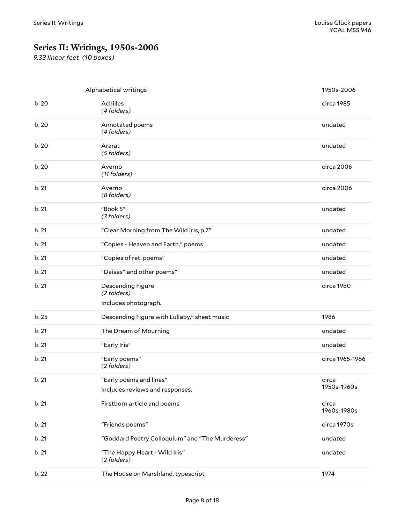# <span id="page-7-0"></span>**Series II: Writings, 1950s-2006**

*9.33 linear feet (10 boxes)*

<span id="page-7-1"></span>

|       | Alphabetical writings                                      | 1950s-2006           |
|-------|------------------------------------------------------------|----------------------|
| b.20  | Achilles<br>(4 folders)                                    | circa 1985           |
| b.20  | Annotated poems<br>(4 folders)                             | undated              |
| b. 20 | Ararat<br>(5 folders)                                      | undated              |
| b. 20 | Averno<br>(11 folders)                                     | circa 2006           |
| b. 21 | Averno<br>(8 folders)                                      | circa 2006           |
| b. 21 | "Book 5"<br>(3 folders)                                    | undated              |
| b. 21 | "Clear Morning from The Wild Iris, p.7"                    | undated              |
| b. 21 | "Copies - Heaven and Earth," poems                         | undated              |
| b. 21 | "Copies of ret. poems"                                     | undated              |
| b. 21 | "Daises" and other poems"                                  | undated              |
| b. 21 | Descending Figure<br>(2 folders)                           | circa 1980           |
|       | Includes photograph.                                       |                      |
| b. 25 | Descending Figure with Lullaby," sheet music               | 1986                 |
| b. 21 | The Dream of Mourning                                      | undated              |
| b. 21 | "Early Iris"                                               | undated              |
| b. 21 | "Early poems"<br>(2 folders)                               | circa 1965-1966      |
| b.21  | "Early poems and lines"<br>Includes reviews and responses. | circa<br>1950s-1960s |
| b. 21 | Firstborn article and poems                                | circa<br>1960s-1980s |
| b. 21 | "Friends poems"                                            | circa 1970s          |
| b. 21 | "Goddard Poetry Colloquium" and "The Murderess"            | undated              |
| b. 21 | "The Happy Heart - Wild Iris"<br>(2 folders)               | undated              |
| b. 22 | The House on Marshland, typescript                         | 1974                 |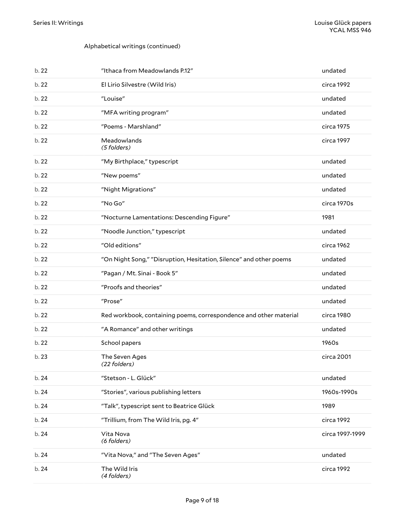#### Alphabetical writings (continued)

| b. 22 | "Ithaca from Meadowlands P.12"                                     | undated         |
|-------|--------------------------------------------------------------------|-----------------|
| b. 22 | El Lirio Silvestre (Wild Iris)                                     | circa 1992      |
| b. 22 | "Louise"                                                           | undated         |
| b. 22 | "MFA writing program"                                              | undated         |
| b. 22 | "Poems - Marshland"                                                | circa 1975      |
| b. 22 | Meadowlands<br>(5 folders)                                         | circa 1997      |
| b. 22 | "My Birthplace," typescript                                        | undated         |
| b.22  | "New poems"                                                        | undated         |
| b. 22 | "Night Migrations"                                                 | undated         |
| b. 22 | "No Go"                                                            | circa 1970s     |
| b.22  | "Nocturne Lamentations: Descending Figure"                         | 1981            |
| b. 22 | "Noodle Junction," typescript                                      | undated         |
| b. 22 | "Old editions"                                                     | circa 1962      |
| b. 22 | "On Night Song," "Disruption, Hesitation, Silence" and other poems | undated         |
| b. 22 | "Pagan / Mt. Sinai - Book 5"                                       | undated         |
| b. 22 | "Proofs and theories"                                              | undated         |
| b. 22 | "Prose"                                                            | undated         |
| b. 22 | Red workbook, containing poems, correspondence and other material  | circa 1980      |
| b. 22 | "A Romance" and other writings                                     | undated         |
| b.22  | School papers                                                      | 1960s           |
| b.23  | The Seven Ages<br>(22 folders)                                     | circa 2001      |
| b. 24 | "Stetson - L. Glück"                                               | undated         |
| b. 24 | "Stories", various publishing letters                              | 1960s-1990s     |
| b. 24 | "Talk", typescript sent to Beatrice Glück                          | 1989            |
| b. 24 | "Trillium, from The Wild Iris, pg. 4"                              | circa 1992      |
| b. 24 | Vita Nova<br>(6 folders)                                           | circa 1997-1999 |
| b. 24 | "Vita Nova," and "The Seven Ages"                                  | undated         |
| b. 24 | The Wild Iris<br>(4 folders)                                       | circa 1992      |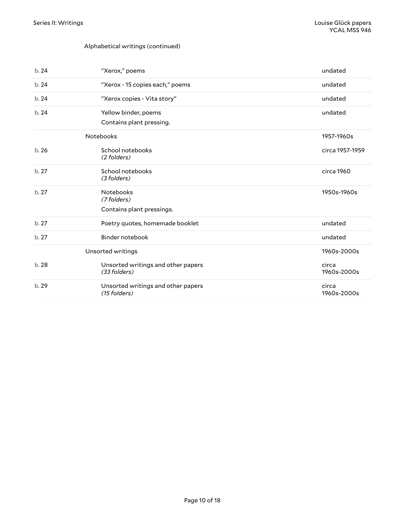#### Alphabetical writings (continued)

<span id="page-9-1"></span><span id="page-9-0"></span>

| b. 24 | "Xerox," poems                                     | undated              |
|-------|----------------------------------------------------|----------------------|
| b.24  | "Xerox - 15 copies each," poems                    | undated              |
| b.24  | "Xerox copies - Vita story"                        | undated              |
| b.24  | Yellow binder, poems                               | undated              |
|       | Contains plant pressing.                           |                      |
|       | Notebooks                                          | 1957-1960s           |
| b.26  | School notebooks<br>(2 folders)                    | circa 1957-1959      |
| b.27  | School notebooks<br>(3 folders)                    | circa 1960           |
| b.27  | <b>Notebooks</b><br>(7 folders)                    | 1950s-1960s          |
|       | Contains plant pressings.                          |                      |
| b.27  | Poetry quotes, homemade booklet                    | undated              |
| b.27  | Binder notebook                                    | undated              |
|       | Unsorted writings                                  | 1960s-2000s          |
| b.28  | Unsorted writings and other papers<br>(33 folders) | circa<br>1960s-2000s |
| b.29  | Unsorted writings and other papers<br>(15 folders) | circa<br>1960s-2000s |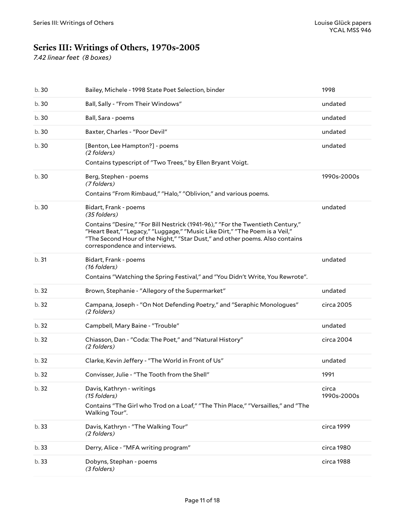# <span id="page-10-0"></span>**Series III: Writings of Others, 1970s-2005**

*7.42 linear feet (8 boxes)*

| b.30  | Bailey, Michele - 1998 State Poet Selection, binder                                                                                                                                                                                                                            | 1998                 |
|-------|--------------------------------------------------------------------------------------------------------------------------------------------------------------------------------------------------------------------------------------------------------------------------------|----------------------|
| b. 30 | Ball, Sally - "From Their Windows"                                                                                                                                                                                                                                             | undated              |
| b. 30 | Ball, Sara - poems                                                                                                                                                                                                                                                             | undated              |
| b.30  | Baxter, Charles - "Poor Devil"                                                                                                                                                                                                                                                 | undated              |
| b.30  | [Benton, Lee Hampton?] - poems<br>(2 folders)                                                                                                                                                                                                                                  | undated              |
|       | Contains typescript of "Two Trees," by Ellen Bryant Voigt.                                                                                                                                                                                                                     |                      |
| b. 30 | Berg, Stephen - poems<br>(7 folders)                                                                                                                                                                                                                                           | 1990s-2000s          |
|       | Contains "From Rimbaud," "Halo," "Oblivion," and various poems.                                                                                                                                                                                                                |                      |
| b. 30 | Bidart, Frank - poems<br>(35 folders)                                                                                                                                                                                                                                          | undated              |
|       | Contains "Desire," "For Bill Nestrick (1941-96)," "For the Twentieth Century,"<br>"Heart Beat," "Legacy," "Luggage," "Music Like Dirt," "The Poem is a Veil,"<br>"The Second Hour of the Night," "Star Dust," and other poems. Also contains<br>correspondence and interviews. |                      |
| b.31  | Bidart, Frank - poems<br>(16 folders)                                                                                                                                                                                                                                          | undated              |
|       | Contains "Watching the Spring Festival," and "You Didn't Write, You Rewrote".                                                                                                                                                                                                  |                      |
| b. 32 | Brown, Stephanie - "Allegory of the Supermarket"                                                                                                                                                                                                                               | undated              |
| b.32  | Campana, Joseph - "On Not Defending Poetry," and "Seraphic Monologues"<br>(2 folders)                                                                                                                                                                                          | circa 2005           |
| b.32  | Campbell, Mary Baine - "Trouble"                                                                                                                                                                                                                                               | undated              |
| b. 32 | Chiasson, Dan - "Coda: The Poet," and "Natural History"                                                                                                                                                                                                                        | circa 2004           |
|       | (2 folders)                                                                                                                                                                                                                                                                    |                      |
| b.32  | Clarke, Kevin Jeffery - "The World in Front of Us"                                                                                                                                                                                                                             | undated              |
| b.32  | Convisser, Julie - "The Tooth from the Shell"                                                                                                                                                                                                                                  | 1991                 |
| b.32  | Davis, Kathryn - writings<br>(15 folders)                                                                                                                                                                                                                                      | circa<br>1990s-2000s |
|       | Contains "The Girl who Trod on a Loaf," "The Thin Place," "Versailles," and "The<br>Walking Tour".                                                                                                                                                                             |                      |
| b. 33 | Davis, Kathryn - "The Walking Tour"<br>(2 folders)                                                                                                                                                                                                                             | circa 1999           |
| b. 33 | Derry, Alice - "MFA writing program"                                                                                                                                                                                                                                           | circa 1980           |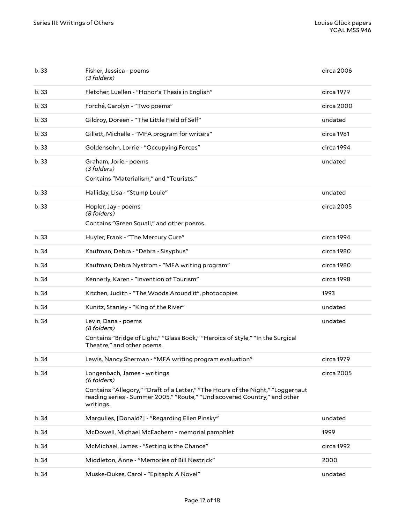| b.33  | Fisher, Jessica - poems<br>(3 folders)                                                                                                                                    | circa 2006 |
|-------|---------------------------------------------------------------------------------------------------------------------------------------------------------------------------|------------|
| b.33  | Fletcher, Luellen - "Honor's Thesis in English"                                                                                                                           | circa 1979 |
| b.33  | Forché, Carolyn - "Two poems"                                                                                                                                             | circa 2000 |
| b.33  | Gildroy, Doreen - "The Little Field of Self"                                                                                                                              | undated    |
| b.33  | Gillett, Michelle - "MFA program for writers"                                                                                                                             | circa 1981 |
| b. 33 | Goldensohn, Lorrie - "Occupying Forces"                                                                                                                                   | circa 1994 |
| b.33  | Graham, Jorie - poems<br>(3 folders)                                                                                                                                      | undated    |
|       | Contains "Materialism," and "Tourists."                                                                                                                                   |            |
| b. 33 | Halliday, Lisa - "Stump Louie"                                                                                                                                            | undated    |
| b. 33 | Hopler, Jay - poems<br>(8 folders)                                                                                                                                        | circa 2005 |
|       | Contains "Green Squall," and other poems.                                                                                                                                 |            |
| b.33  | Huyler, Frank - "The Mercury Cure"                                                                                                                                        | circa 1994 |
| b.34  | Kaufman, Debra - "Debra - Sisyphus"                                                                                                                                       | circa 1980 |
| b.34  | Kaufman, Debra Nystrom - "MFA writing program"                                                                                                                            | circa 1980 |
| b.34  | Kennerly, Karen - "Invention of Tourism"                                                                                                                                  | circa 1998 |
| b.34  | Kitchen, Judith - "The Woods Around it", photocopies                                                                                                                      | 1993       |
| b.34  | Kunitz, Stanley - "King of the River"                                                                                                                                     | undated    |
| b.34  | Levin, Dana - poems<br>(8 folders)                                                                                                                                        | undated    |
|       | Contains "Bridge of Light," "Glass Book," "Heroics of Style," "In the Surgical<br>Theatre," and other poems.                                                              |            |
| b. 34 | Lewis, Nancy Sherman - "MFA writing program evaluation"                                                                                                                   | circa 1979 |
| b.34  | Longenbach, James - writings<br>(6 folders)                                                                                                                               | circa 2005 |
|       | Contains "Allegory," "Draft of a Letter," "The Hours of the Night," "Loggernaut<br>reading series - Summer 2005," "Route," "Undiscovered Country," and other<br>writings. |            |
| b.34  | Margulies, [Donald?] - "Regarding Ellen Pinsky"                                                                                                                           | undated    |
| b.34  | McDowell, Michael McEachern - memorial pamphlet                                                                                                                           | 1999       |
| b.34  | McMichael, James - "Setting is the Chance"                                                                                                                                | circa 1992 |
| b. 34 | Middleton, Anne - "Memories of Bill Nestrick"                                                                                                                             | 2000       |
| b.34  | Muske-Dukes, Carol - "Epitaph: A Novel"                                                                                                                                   | undated    |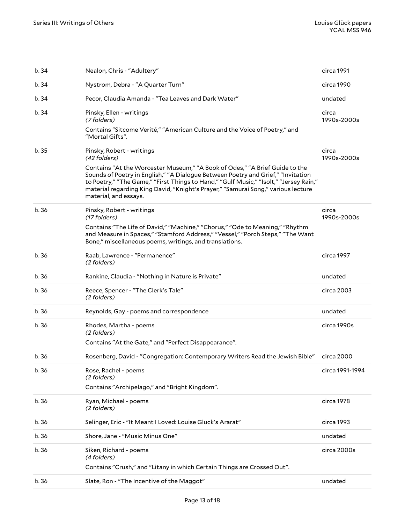| b.34  | Nealon, Chris - "Adultery"                                                                                                                                                                                                                                                                                                                                                                                          | circa 1991           |
|-------|---------------------------------------------------------------------------------------------------------------------------------------------------------------------------------------------------------------------------------------------------------------------------------------------------------------------------------------------------------------------------------------------------------------------|----------------------|
| b.34  | Nystrom, Debra - "A Quarter Turn"                                                                                                                                                                                                                                                                                                                                                                                   | circa 1990           |
| b.34  | Pecor, Claudia Amanda - "Tea Leaves and Dark Water"                                                                                                                                                                                                                                                                                                                                                                 | undated              |
| b.34  | Pinsky, Ellen - writings<br>(7 folders)<br>Contains "Sitcome Verité," "American Culture and the Voice of Poetry," and<br>"Mortal Gifts".                                                                                                                                                                                                                                                                            | circa<br>1990s-2000s |
| b.35  | Pinsky, Robert - writings<br>(42 folders)<br>Contains "At the Worcester Museum," "A Book of Odes," "A Brief Guide to the<br>Sounds of Poetry in English," "A Dialogue Between Poetry and Grief," "Invitation<br>to Poetry," "The Game," "First Things to Hand," "Gulf Music," "Isolt," "Jersey Rain,"<br>material regarding King David, "Knight's Prayer," "Samurai Song," various lecture<br>material, and essays. | circa<br>1990s-2000s |
| b.36  | Pinsky, Robert - writings<br>(17 folders)<br>Contains "The Life of David," "Machine," "Chorus," "Ode to Meaning," "Rhythm<br>and Measure in Spaces," "Stamford Address," "Vessel," "Porch Steps," "The Want<br>Bone," miscellaneous poems, writings, and translations.                                                                                                                                              | circa<br>1990s-2000s |
| b.36  | Raab, Lawrence - "Permanence"<br>(2 folders)                                                                                                                                                                                                                                                                                                                                                                        | circa 1997           |
| b.36  | Rankine, Claudia - "Nothing in Nature is Private"                                                                                                                                                                                                                                                                                                                                                                   | undated              |
| b.36  | Reece, Spencer - "The Clerk's Tale"<br>(2 folders)                                                                                                                                                                                                                                                                                                                                                                  | circa 2003           |
| b.36  | Reynolds, Gay - poems and correspondence                                                                                                                                                                                                                                                                                                                                                                            | undated              |
| b.36  | Rhodes, Martha - poems<br>(2 folders)<br>Contains "At the Gate," and "Perfect Disappearance".                                                                                                                                                                                                                                                                                                                       | circa 1990s          |
| b.36  | Rosenberg, David - "Congregation: Contemporary Writers Read the Jewish Bible"                                                                                                                                                                                                                                                                                                                                       | circa 2000           |
| b.36  | Rose, Rachel - poems<br>(2 folders)<br>Contains "Archipelago," and "Bright Kingdom".                                                                                                                                                                                                                                                                                                                                | circa 1991-1994      |
| b.36  | Ryan, Michael - poems<br>(2 folders)                                                                                                                                                                                                                                                                                                                                                                                | circa 1978           |
| b.36  | Selinger, Eric - "It Meant I Loved: Louise Gluck's Ararat"                                                                                                                                                                                                                                                                                                                                                          | circa 1993           |
| b.36  | Shore, Jane - "Music Minus One"                                                                                                                                                                                                                                                                                                                                                                                     | undated              |
| b.36  | Siken, Richard - poems<br>(4 folders)<br>Contains "Crush," and "Litany in which Certain Things are Crossed Out".                                                                                                                                                                                                                                                                                                    | circa 2000s          |
| b. 36 | Slate, Ron - "The Incentive of the Maggot"                                                                                                                                                                                                                                                                                                                                                                          | undated              |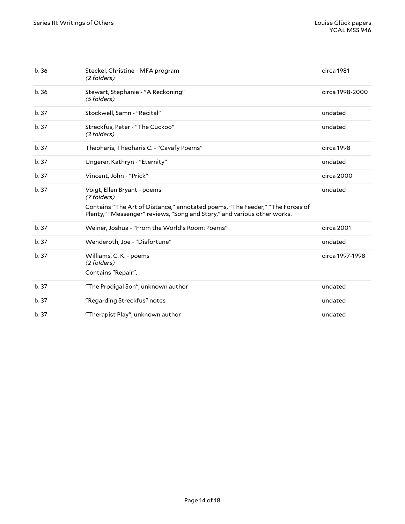| b.36  | Steckel, Christine - MFA program<br>(2 folders)                                                                                                           | circa 1981      |
|-------|-----------------------------------------------------------------------------------------------------------------------------------------------------------|-----------------|
| b.36  | Stewart, Stephanie - "A Reckoning"<br>(5 folders)                                                                                                         | circa 1998-2000 |
| b.37  | Stockwell, Samn - "Recital"                                                                                                                               | undated         |
| b.37  | Streckfus, Peter - "The Cuckoo"<br>(3 folders)                                                                                                            | undated         |
| b. 37 | Theoharis, Theoharis C. - "Cavafy Poems"                                                                                                                  | circa 1998      |
| b.37  | Ungerer, Kathryn - "Eternity"                                                                                                                             | undated         |
| b.37  | Vincent, John - "Prick"                                                                                                                                   | circa 2000      |
| b.37  | Voigt, Ellen Bryant - poems<br>(7 folders)                                                                                                                | undated         |
|       | Contains "The Art of Distance," annotated poems, "The Feeder," "The Forces of<br>Plenty," "Messenger" reviews, "Song and Story," and various other works. |                 |
| b.37  | Weiner, Joshua - "From the World's Room: Poems"                                                                                                           | circa 2001      |
| b.37  | Wenderoth, Joe - "Disfortune"                                                                                                                             | undated         |
| b.37  | Williams, C. K. - poems<br>(2 folders)                                                                                                                    | circa 1997-1998 |
|       | Contains "Repair".                                                                                                                                        |                 |
| b.37  | "The Prodigal Son", unknown author                                                                                                                        | undated         |
| b.37  | "Regarding Streckfus" notes                                                                                                                               | undated         |
| b.37  | "Therapist Play", unknown author                                                                                                                          | undated         |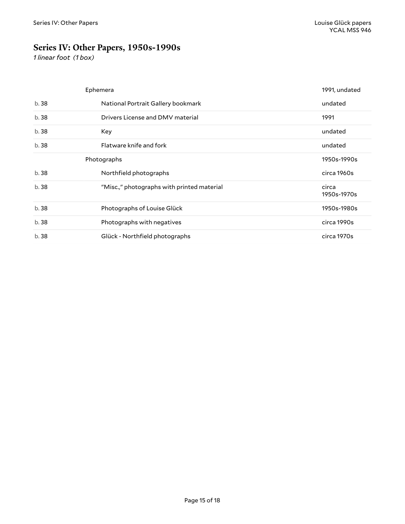## <span id="page-14-0"></span>**Series IV: Other Papers, 1950s-1990s**

*1 linear foot (1 box)*

<span id="page-14-2"></span><span id="page-14-1"></span>

|       | Ephemera                                   | 1991, undated        |
|-------|--------------------------------------------|----------------------|
| b.38  | National Portrait Gallery bookmark         | undated              |
| b. 38 | Drivers License and DMV material           | 1991                 |
| b. 38 | Key                                        | undated              |
| b.38  | Flatware knife and fork                    | undated              |
|       | Photographs                                | 1950s-1990s          |
|       |                                            |                      |
| b. 38 | Northfield photographs                     | circa 1960s          |
| b.38  | "Misc.," photographs with printed material | circa<br>1950s-1970s |
| b.38  | Photographs of Louise Glück                | 1950s-1980s          |
| b. 38 | Photographs with negatives                 | circa 1990s          |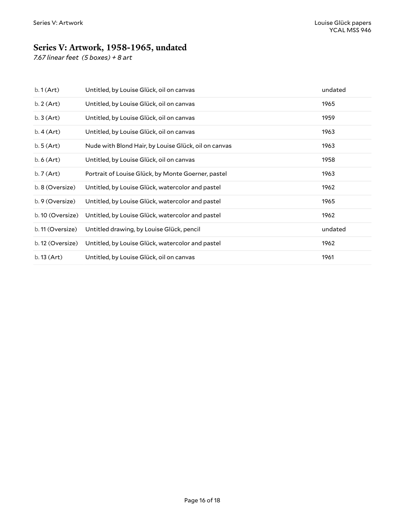## <span id="page-15-0"></span>**Series V: Artwork, 1958-1965, undated**

*7.67 linear feet (5 boxes) + 8 art*

| $b.1$ (Art)      | Untitled, by Louise Glück, oil on canvas             | undated |
|------------------|------------------------------------------------------|---------|
| $b.2$ (Art)      | Untitled, by Louise Glück, oil on canvas             | 1965    |
| $b.3$ (Art)      | Untitled, by Louise Glück, oil on canvas             | 1959    |
| $b.4$ (Art)      | Untitled, by Louise Glück, oil on canvas             | 1963    |
| $b.5$ (Art)      | Nude with Blond Hair, by Louise Glück, oil on canvas | 1963    |
| $b.6$ (Art)      | Untitled, by Louise Glück, oil on canvas             | 1958    |
| $b.7$ (Art)      | Portrait of Louise Glück, by Monte Goerner, pastel   | 1963    |
| b. 8 (Oversize)  | Untitled, by Louise Glück, watercolor and pastel     | 1962    |
| b. 9 (Oversize)  | Untitled, by Louise Glück, watercolor and pastel     | 1965    |
| b. 10 (Oversize) | Untitled, by Louise Glück, watercolor and pastel     | 1962    |
| b. 11 (Oversize) | Untitled drawing, by Louise Glück, pencil            | undated |
| b. 12 (Oversize) | Untitled, by Louise Glück, watercolor and pastel     | 1962    |
| b.13 (Art)       | Untitled, by Louise Glück, oil on canvas             | 1961    |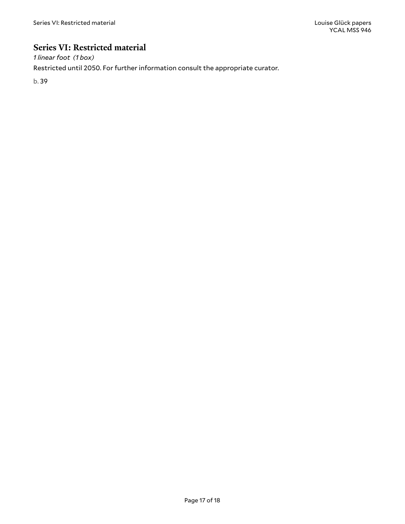### <span id="page-16-0"></span>**Series VI: Restricted material**

*1 linear foot (1 box)*

Restricted until 2050. For further information consult the appropriate curator.

b. 39